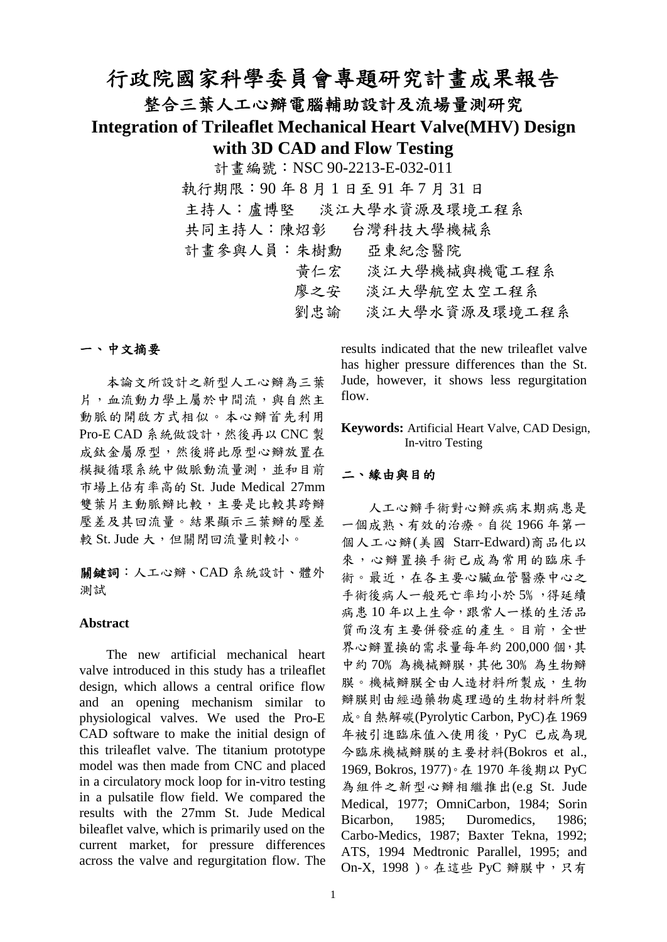# 行政院國家科學委員會專題研究計畫成果報告

## 整合三葉人工心瓣電腦輔助設計及流場量測研究

**Integration of Trileaflet Mechanical Heart Valve(MHV) Design with 3D CAD and Flow Testing**

> 計畫編號:NSC 90-2213-E-032-011 執行期限:90 年 8 月 1 日至 91 年 7 月 31 日 主持人:盧博堅 淡江大學水資源及環境工程系 共同主持人:陳炤彰 台灣科技大學機械系 計畫參與人員:朱樹勳 亞東紀念醫院 黃仁宏 淡江大學機械與機電工程系 廖之安 淡江大學航空太空工程系 劉忠諭 淡江大學水資源及環境工程系

#### 一、中文摘要

本論文所設計之新型人工心瓣為三葉 片,血流動力學上屬於中間流,與自然主 動脈的開啟方式相似。本心瓣首先利用 Pro-E CAD 系統做設計,然後再以 CNC 製 成鈦金屬原型,然後將此原型心瓣放置在 模擬循環系統中做脈動流量測,並和目前 市場上佔有率高的 St. Jude Medical 27mm 雙葉片主動脈瓣比較,主要是比較其跨瓣 壓差及其回流量。結果顯示三葉瓣的壓差 較 St. Jude 大,但關閉回流量則較小。

關鍵詞:人工心瓣、CAD 系統設計、體外 測試

#### **Abstract**

The new artificial mechanical heart valve introduced in this study has a trileaflet design, which allows a central orifice flow and an opening mechanism similar to physiological valves. We used the Pro-E CAD software to make the initial design of this trileaflet valve. The titanium prototype model was then made from CNC and placed in a circulatory mock loop for in-vitro testing in a pulsatile flow field. We compared the results with the 27mm St. Jude Medical bileaflet valve, which is primarily used on the current market, for pressure differences across the valve and regurgitation flow. The

results indicated that the new trileaflet valve has higher pressure differences than the St. Jude, however, it shows less regurgitation flow.

**Keywords:** Artificial Heart Valve, CAD Design, In-vitro Testing

#### 二、緣由與目的

人工心瓣手術對心瓣疾病末期病患是 一個成熟、有效的治療。自從 1966 年第一 個人工心瓣(美國 Starr-Edward)商品化以 來,心瓣置換手術已成為常用的臨床手 術。最近,在各主要心臟血管醫療中心之 手術後病人一般死亡率均小於 5%,得延續 病患10年以上生命,跟常人一樣的生活品 質而沒有主要併發症的產生。目前,全世 界心瓣置換的需求量每年約 200,000 個,其 中約 70%為機械辦膜,其他 30%為生物瓣 膜。機械瓣膜全由人造材料所製成,生物 瓣膜則由經過藥物處理過的生物材料所製 成。自熱解碳(Pyrolytic Carbon, PyC)在1969 年被引進臨床值入使用後,PyC 已成為現 今臨床機械瓣膜的主要材料(Bokros et al., 1969, Bokros, 1977)。在 1970 年後期以 PyC 為組件之新型心瓣相繼推出(e.g St. Jude Medical, 1977; OmniCarbon, 1984; Sorin Bicarbon, 1985; Duromedics, 1986; Carbo-Medics, 1987; Baxter Tekna, 1992; ATS, 1994 Medtronic Parallel, 1995; and On-X, 1998)。在這些 PyC 瓣膜中,只有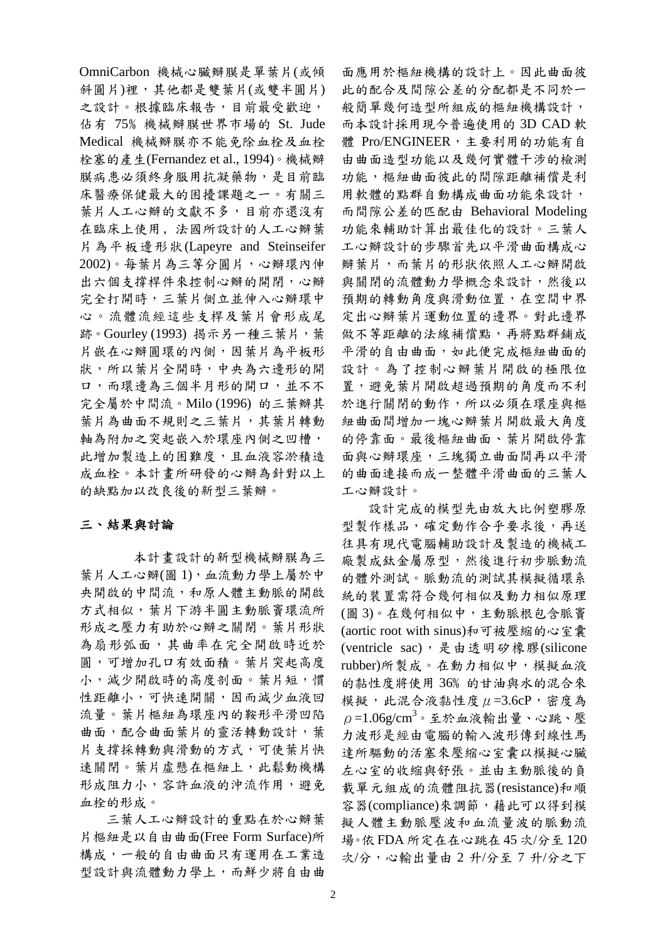OmniCarbon 機械心臟瓣膜是單葉片(或傾 斜圓片)裡,其他都是雙葉片(或雙半圓片) 之設計。根據臨床報告,目前最受歡迎, 佔有 75﹪機械瓣膜世界市場的 St. Jude Medical 機械瓣膜亦不能免除血栓及血栓 栓塞的產生(Fernandez et al., 1994)。機械瓣 膜病患必須終身服用抗凝藥物,是目前臨 床醫療保健最大的困擾課題之一。有關三 葉片人工心瓣的文獻不多,目前亦還沒有 在臨床上使用﹐法國所設計的人工心瓣葉 片為平板邊形狀(Lapeyre and Steinseifer 2002)。每葉片為三等分圓片,心瓣環內伸 出六個支撐桿件來控制心瓣的開閉,心瓣 完全打開時,三葉片側立並伸入心瓣環中 心。流體流經這些支桿及葉片會形成尾 跡。Gourley (1993) 揭示另一種三葉片,葉 片嵌在心瓣圓環的內側,因葉片為平板形 狀,所以葉片全開時,中央為六邊形的開 口,而環邊為三個半月形的開口,並不不 完全屬於中間流。Milo (1996) 的三葉瓣其 葉片為曲面不規則之三葉片,其葉片轉動 軸為附加之突起嵌入於環座內側之凹槽, 此增加製造上的困難度,且血液容淤積造 成血栓。本計畫所研發的心瓣為針對以上 的缺點加以改良後的新型三葉瓣。

#### 三、結果與討論

 本計畫設計的新型機械瓣膜為三 葉片人工心瓣(圖1),血流動力學上屬於中 央開啟的中間流,和原人體主動脈的開啟 方式相似,葉片下游半圓主動脈竇環流所 形成之壓力有助於心瓣之關閉。葉片形狀 為扇形弧面,其曲率在完全開啟時近於 圓,可增加孔口有效面積。葉片突起高度 小,減少開啟時的高度剖面。葉片短,慣 性距離小,可快速開關,因而減少血液回 流量。葉片樞紐為環座內的鞍形平滑凹陷 曲面,配合曲面葉片的靈活轉動設計,葉 片支撐採轉動與滑動的方式,可使葉片快 速關閉。葉片虛懸在樞紐上,此鬆動機構 形成阻力小,容許血液的沖流作用,避免 血栓的形成。

三葉人工心瓣設計的重點在於心瓣葉 片樞紐是以自由曲面(Free Form Surface)所 構成,一般的自由曲面只有運用在工業造 型設計與流體動力學上,而鮮少將自由曲

面應用於樞紐機構的設計上。因此曲面彼 此的配合及間隙公差的分配都是不同於一 般簡單幾何造型所組成的樞紐機構設計, 而本設計採用現今普遍使用的 3D CAD 軟 體 Pro/ENGINEER, 主要利用的功能有自 由曲面造型功能以及幾何實體干涉的檢測 功能,樞紐曲面彼此的間隙距離補償是利 用軟體的點群自動構成曲面功能來設計, 而間隙公差的匹配由 Behavioral Modeling 功能來輔助計算出最佳化的設計。三葉人 工心瓣設計的步驟首先以平滑曲面構成心 瓣葉片,而葉片的形狀依照人工心瓣開啟 與關閉的流體動力學概念來設計,然後以 預期的轉動角度與滑動位置,在空間中界 定出心瓣葉片運動位置的邊界。對此邊界 做不等距離的法線補償點,再將點群鋪成 平滑的自由曲面,如此便完成樞紐曲面的 設計。為了控制心瓣葉片開啟的極限位 置,避免葉片開啟超過預期的角度而不利 於進行關閉的動作,所以必須在環座與樞 紐曲面間增加一塊心瓣葉片開啟最大角度 的停靠面。最後樞紐曲面、葉片開啟停靠 面與心瓣環座,三塊獨立曲面間再以平滑 的曲面連接而成一整體平滑曲面的三葉人 工心瓣設計。

設計完成的模型先由放大比例塑膠原 型製作樣品,確定動作合乎要求後,再送 往具有現代電腦輔助設計及製造的機械工 廠製成鈦金屬原型,然後進行初步脈動流 的體外測試。脈動流的測試其模擬循環系 統的裝置需符合幾何相似及動力相似原理 (圖 3)。在幾何相似中,主動脈根包含脈竇 (aortic root with sinus)和可被壓縮的心室囊 (ventricle sac), 是由透明矽橡膠(silicone rubber)所製成。在動力相似中,模擬血液 的黏性度將使用 36﹪的甘油與水的混合來 模擬,此混合液黏性度μ=3.6cP,密度為  $\rho = 1.06$ g/cm<sup>3</sup>。至於血液輸出量、心跳、壓 力波形是經由電腦的輸入波形傳到線性馬 達所驅動的活塞來壓縮心室囊以模擬心臟 左心室的收縮與舒張。並由主動脈後的負 載單元組成的流體阻抗器(resistance)和順 容器(compliance)來調節,藉此可以得到模 擬人體主動脈壓波和血流量波的脈動流 場。依 FDA 所定在在心跳在 45 次/分至 120 次/分,心輸出量由 2 升/分至 7 升/分之下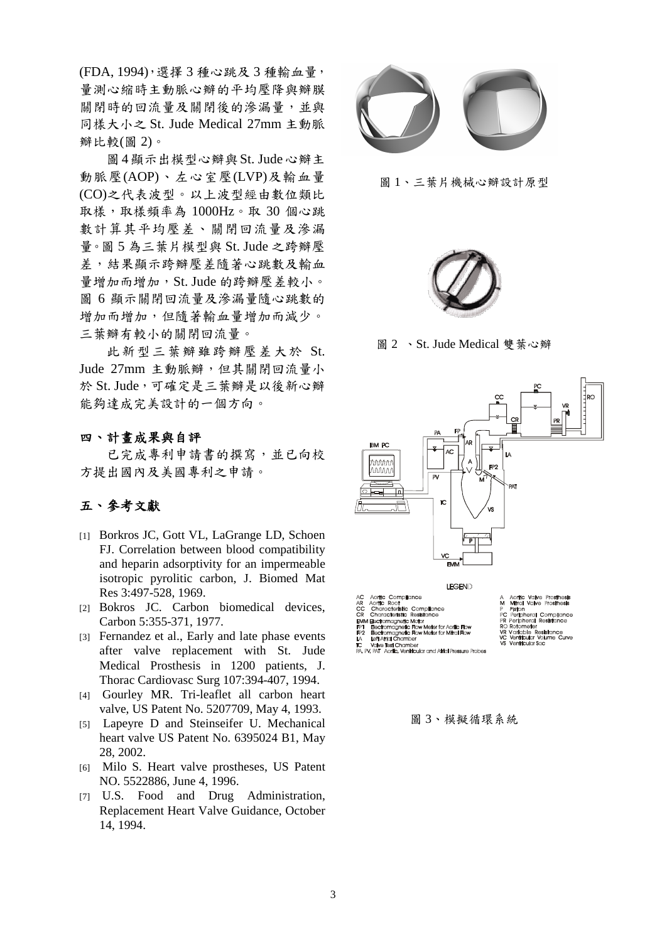(FDA, 1994),選擇 3 種心跳及 3 種輸血量, 量測心縮時主動脈心瓣的平均壓降與瓣膜 關閉時的回流量及關閉後的滲漏量,並與 同樣大小之 St. Jude Medical 27mm 主動脈 瓣比較(圖 2)。

圖4顯示出模型心瓣與St. Jude心瓣主 動脈壓(AOP)、左心室壓(LVP)及輸血量 (CO)之代表波型。以上波型經由數位類比 取樣,取樣頻率為 1000Hz。取 30 個心跳 數計算其平均壓差、關閉回流量及滲漏 量。圖 5 為三葉片模型與 St. Jude 之跨瓣壓 差,結果顯示跨瓣壓差隨著心跳數及輸血 量增加而增加,St. Jude 的跨瓣壓差較小。 圖 6 顯示關閉回流量及滲漏量隨心跳數的 增加而增加,但隨著輸血量增加而減少。 三葉瓣有較小的關閉回流量。

此新型三葉瓣雖跨瓣壓差大於 St. Jude 27mm 主動脈瓣,但其關閉回流量小 於 St. Jude,可確定是三葉瓣是以後新心瓣 能夠達成完美設計的一個方向。

### 四、計畫成果與自評

 已完成專利申請書的撰寫,並已向校 方提出國內及美國專利之申請。

### 五、參考文獻

- [1] Borkros JC, Gott VL, LaGrange LD, Schoen FJ. Correlation between blood compatibility and heparin adsorptivity for an impermeable isotropic pyrolitic carbon, J. Biomed Mat Res 3:497-528, 1969.
- [2] Bokros JC. Carbon biomedical devices, Carbon 5:355-371, 1977.
- [3] Fernandez et al., Early and late phase events after valve replacement with St. Jude Medical Prosthesis in 1200 patients, J. Thorac Cardiovasc Surg 107:394-407, 1994.
- [4] Gourley MR. Tri-leaflet all carbon heart valve, US Patent No. 5207709, May 4, 1993.
- [5] Lapeyre D and Steinseifer U. Mechanical heart valve US Patent No. 6395024 B1, May 28, 2002.
- [6] Milo S. Heart valve prostheses, US Patent NO. 5522886, June 4, 1996.
- [7] U.S. Food and Drug Administration, Replacement Heart Valve Guidance, October 14, 1994.



圖 1、三葉片機械心瓣設計原型



圖 2 、St. Jude Medical 雙葉心瓣



圖 3、模擬循環系統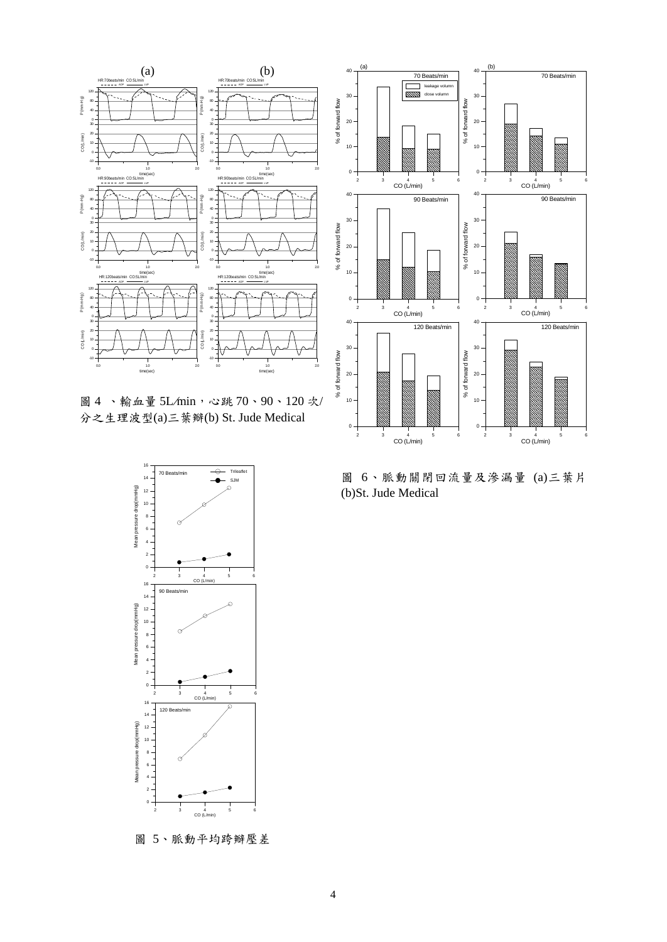

圖 4 、輸血量 5L*/*min,心跳 70、90、120 次/ 分之生理波型(a)三葉瓣(b) St. Jude Medical



圖 5、脈動平均跨瓣壓差



圖 6、脈動關閉回流量及滲漏量 (a)三葉片 (b)St. Jude Medical